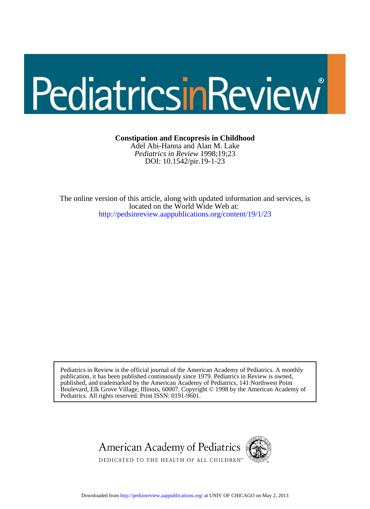# PediatricsinReview

**Constipation and Encopresis in Childhood**

DOI: 10.1542/pir.19-1-23 *Pediatrics in Review* 1998;19;23 Adel Abi-Hanna and Alan M. Lake

<http://pedsinreview.aappublications.org/content/19/1/23> located on the World Wide Web at: The online version of this article, along with updated information and services, is

Pediatrics. All rights reserved. Print ISSN: 0191-9601. Boulevard, Elk Grove Village, Illinois, 60007. Copyright © 1998 by the American Academy of published, and trademarked by the American Academy of Pediatrics, 141 Northwest Point publication, it has been published continuously since 1979. Pediatrics in Review is owned, Pediatrics in Review is the official journal of the American Academy of Pediatrics. A monthly



Downloaded from<http://pedsinreview.aappublications.org/>at UNIV OF CHICAGO on May 2, 2013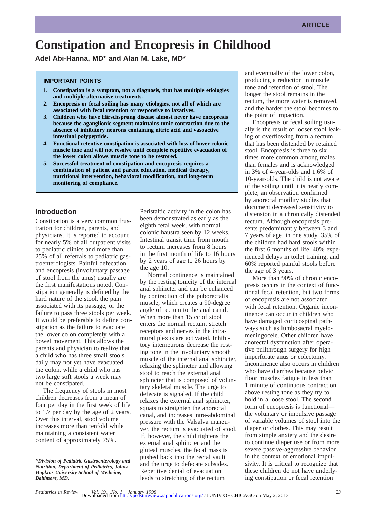# **Constipation and Encopresis in Childhood**

**Adel Abi-Hanna, MD\* and Alan M. Lake, MD\***

# **IMPORTANT POINTS**

- **1. Constipation is a symptom, not a diagnosis, that has multiple etiologies and multiple alternative treatments.**
- **2. Encopresis or fecal soiling has many etiologies, not all of which are associated with fecal retention or responsive to laxatives.**
- **3. Children who have Hirschsprung disease almost never have encopresis because the aganglionic segment maintains tonic contraction due to the absence of inhibitory neurons containing nitric acid and vasoactive intestinal polypeptide.**
- **4. Functional retentive constipation is associated with loss of lower colonic muscle tone and will not resolve until complete repetitive evacuation of the lower colon allows muscle tone to be restored.**
- **5. Successful treatment of constipation and encopresis requires a combination of patient and parent education, medical therapy, nutritional intervention, behavioral modification, and long-term monitoring of compliance.**

# **Introduction**

Constipation is a very common frustration for children, parents, and physicians. It is reported to account for nearly 5% of all outpatient visits to pediatric clinics and more than 25% of all referrals to pediatric gastroenterologists. Painful defecation and encopresis (involuntary passage of stool from the anus) usually are the first manifestations noted. Constipation generally is defined by the hard nature of the stool, the pain associated with its passage, or the failure to pass three stools per week. It would be preferable to define constipation as the failure to evacuate the lower colon completely with a bowel movement. This allows the parents and physician to realize that a child who has three small stools daily may not yet have evacuated the colon, while a child who has two large soft stools a week may not be constipated.

The frequency of stools in most children decreases from a mean of four per day in the first week of life to 1.7 per day by the age of 2 years. Over this interval, stool volume increases more than tenfold while maintaining a consistent water content of approximately 75%.

Peristaltic activity in the colon has been demonstrated as early as the eighth fetal week, with normal colonic haustra seen by 12 weeks. Intestinal transit time from mouth to rectum increases from 8 hours in the first month of life to 16 hours by 2 years of age to 26 hours by the age 10.

Normal continence is maintained by the resting tonicity of the internal anal sphincter and can be enhanced by contraction of the puborectalis muscle, which creates a 90-degree angle of rectum to the anal canal. When more than 15 cc of stool enters the normal rectum, stretch receptors and nerves in the intramural plexus are activated. Inhibitory interneurons decrease the resting tone in the involuntary smooth muscle of the internal anal sphincter, relaxing the sphincter and allowing stool to reach the external anal sphincter that is composed of voluntary skeletal muscle. The urge to defecate is signaled. If the child relaxes the external anal sphincter, squats to straighten the anorectal canal, and increases intra-abdominal pressure with the Valsalva maneuver, the rectum is evacuated of stool. If, however, the child tightens the external anal sphincter and the gluteal muscles, the fecal mass is pushed back into the rectal vault and the urge to defecate subsides. Repetitive denial of evacuation leads to stretching of the rectum

and eventually of the lower colon, producing a reduction in muscle tone and retention of stool. The longer the stool remains in the rectum, the more water is removed, and the harder the stool becomes to the point of impaction.

Encopresis or fecal soiling usually is the result of looser stool leaking or overflowing from a rectum that has been distended by retained stool. Encopresis is three to six times more common among males than females and is acknowledged in 3% of 4-year-olds and 1.6% of 10-year-olds. The child is not aware of the soiling until it is nearly complete, an observation confirmed by anorectal motility studies that document decreased sensitivity to distension in a chronically distended rectum. Although encopresis presents predominantly between 3 and 7 years of age, in one study, 35% of the children had hard stools within the first 6 months of life, 40% experienced delays in toilet training, and 60% reported painful stools before the age of 3 years.

More than 90% of chronic encopresis occurs in the context of functional fecal retention, but two forms of encopresis are not associated with fecal retention. Organic incontinence can occur in children who have damaged corticospinal pathways such as lumbosacral myelomeningocele. Other children have anorectal dysfunction after operative pullthrough surgery for high imperforate anus or colectomy. Incontinence also occurs in children who have diarrhea because pelvic floor muscles fatigue in less than 1 minute of continuous contraction above resting tone as they try to hold in a loose stool. The second form of encopresis is functional the voluntary or impulsive passage of variable volumes of stool into the diaper or clothes. This may result from simple anxiety and the desire to continue diaper use or from more severe passive-aggressive behavior in the context of emotional impulsivity. It is critical to recognize that these children do not have underlying constipation or fecal retention

*<sup>\*</sup>Division of Pediatric Gastroenterology and Nutrition, Department of Pediatrics, Johns Hopkins University School of Medicine, Baltimore, MD.*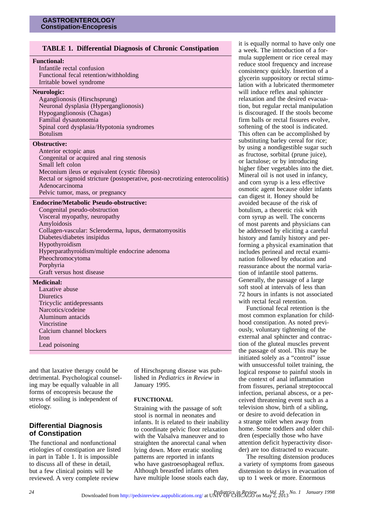# **TABLE 1. Differential Diagnosis of Chronic Constipation**

| <b>Functional:</b><br>Infantile rectal confusion<br>Functional fecal retention/withholding<br>Irritable bowel syndrome                                                                                                                                                                                                                                     |  |
|------------------------------------------------------------------------------------------------------------------------------------------------------------------------------------------------------------------------------------------------------------------------------------------------------------------------------------------------------------|--|
| Neurologic:<br>Aganglionosis (Hirschsprung)<br>Neuronal dysplasia (Hyperganglionosis)<br>Hypoganglionosis (Chagas)<br>Familial dysautonomia<br>Spinal cord dysplasia/Hypotonia syndromes<br><b>Botulism</b>                                                                                                                                                |  |
| <b>Obstructive:</b><br>Anterior ectopic anus<br>Congenital or acquired anal ring stenosis<br>Small left colon<br>Meconium ileus or equivalent (cystic fibrosis)<br>Rectal or sigmoid stricture (postoperative, post-necrotizing enterocolitis)<br>Adenocarcinoma<br>Pelvic tumor, mass, or pregnancy                                                       |  |
| <b>Endocrine/Metabolic Pseudo-obstructive:</b><br>Congenital pseudo-obstruction<br>Visceral myopathy, neuropathy<br>Amyloidosis<br>Collagen-vascular: Scleroderma, lupus, dermatomyositis<br>Diabetes/diabetes insipidus<br>Hypothyroidism<br>Hyperparathyroidism/multiple endocrine adenoma<br>Pheochromocytoma<br>Porphyria<br>Graft versus host disease |  |
| <b>Medicinal:</b><br>Laxative abuse<br>Diuretics<br>Tricyclic antidepressants<br>Narcotics/codeine<br>Aluminum antacids<br>Vincristine<br>Calcium channel blockers                                                                                                                                                                                         |  |

and that laxative therapy could be detrimental. Psychological counseling may be equally valuable in all forms of encopresis because the stress of soiling is independent of etiology.

# **Differential Diagnosis of Constipation**

Iron

Lead poisoning

The functional and nonfunctional etiologies of constipation are listed in part in Table 1. It is impossible to discuss all of these in detail, but a few clinical points will be reviewed. A very complete review

of Hirschsprung disease was published in *Pediatrics in Review* in January 1995.

# **FUNCTIONAL**

Straining with the passage of soft stool is normal in neonates and infants. It is related to their inability to coordinate pelvic floor relaxation with the Valsalva maneuver and to straighten the anorectal canal when lying down. More erratic stooling patterns are reported in infants who have gastroesophageal reflux. Although breastfed infants often have multiple loose stools each day,

it is equally normal to have only one a week. The introduction of a formula supplement or rice cereal may reduce stool frequency and increase consistency quickly. Insertion of a glycerin suppository or rectal stimulation with a lubricated thermometer will induce reflex anal sphincter relaxation and the desired evacuation, but regular rectal manipulation is discouraged. If the stools become firm balls or rectal fissures evolve, softening of the stool is indicated. This often can be accomplished by substituting barley cereal for rice; by using a nondigestible sugar such as fructose, sorbital (prune juice), or lactulose; or by introducing higher fiber vegetables into the diet. Mineral oil is not used in infancy, and corn syrup is a less effective osmotic agent because older infants can digest it. Honey should be avoided because of the risk of botulism, a theoretic risk with corn syrup as well. The concerns of most parents and physicians can be addressed by eliciting a careful history and family history and performing a physical examination that includes perineal and rectal examination followed by education and reassurance about the normal variation of infantile stool patterns. Generally, the passage of a large soft stool at intervals of less than 72 hours in infants is not associated with rectal fecal retention.

Functional fecal retention is the most common explanation for childhood constipation. As noted previously, voluntary tightening of the external anal sphincter and contraction of the gluteal muscles prevent the passage of stool. This may be initiated solely as a "control" issue with unsuccessful toilet training, the logical response to painful stools in the context of anal inflammation from fissures, perianal streptococcal infection, perianal abscess, or a perceived threatening event such as a television show, birth of a sibling, or desire to avoid defecation in a strange toilet when away from home. Some toddlers and older children (especially those who have attention deficit hyperactivity disorder) are too distracted to evacuate.

The resulting distension produces a variety of symptoms from gaseous distension to delays in evacuation of up to 1 week or more. Enormous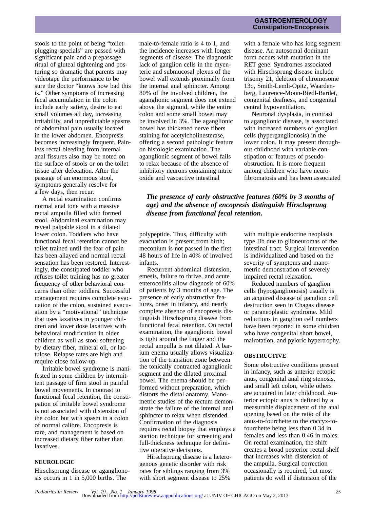stools to the point of being "toiletplugging-specials" are passed with significant pain and a prepassage ritual of gluteal tightening and posturing so dramatic that parents may videotape the performance to be sure the doctor "knows how bad this is." Other symptoms of increasing fecal accumulation in the colon include early satiety, desire to eat small volumes all day, increasing irritability, and unpredictable spasms of abdominal pain usually located in the lower abdomen. Encopresis becomes increasingly frequent. Painless rectal bleeding from internal anal fissures also may be noted on the surface of stools or on the toilet tissue after defecation. After the passage of an enormous stool, symptoms generally resolve for a few days, then recur.

A rectal examination confirms normal anal tone with a massive rectal ampulla filled with formed stool. Abdominal examination may reveal palpable stool in a dilated lower colon. Toddlers who have functional fecal retention cannot be toilet trained until the fear of pain has been allayed and normal rectal sensation has been restored. Interestingly, the constipated toddler who refuses toilet training has no greater frequency of other behavioral concerns than other toddlers. Successful management requires complete evacuation of the colon, sustained evacuation by a "motivational" technique that uses laxatives in younger children and lower dose laxatives with behavioral modification in older children as well as stool softening by dietary fiber, mineral oil, or lactulose. Relapse rates are high and require close follow-up.

Irritable bowel syndrome is manifested in some children by intermittent passage of firm stool in painful bowel movements. In contrast to functional fecal retention, the constipation of irritable bowel syndrome is not associated with distension of the colon but with spasm in a colon of normal calibre. Encopresis is rare, and management is based on increased dietary fiber rather than laxatives.

#### **NEUROLOGIC**

Hirschsprung disease or aganglionosis occurs in 1 in 5,000 births. The

male-to-female ratio is 4 to 1, and the incidence increases with longer segments of disease. The diagnostic lack of ganglion cells in the myenteric and submucosal plexus of the bowel wall extends proximally from the internal anal sphincter. Among 80% of the involved children, the aganglionic segment does not extend above the sigmoid, while the entire colon and some small bowel may be involved in 3%. The aganglionic bowel has thickened nerve fibers staining for acetylcholinesterase, offering a second pathologic feature on histologic examination. The aganglionic segment of bowel fails to relax because of the absence of inhibitory neurons containing nitric oxide and vasoactive intestinal

## **GASTROENTEROLOGY Constipation-Encopresis**

with a female who has long segment disease. An autosomal dominant form occurs with mutation in the RET gene. Syndromes associated with Hirschsprung disease include trisomy 21, deletion of chromosome 13q, Smith-Lemli-Opitz, Waardenberg, Laurence-Moon-Biedl-Bardet, congenital deafness, and congenital central hypoventilation.

Neuronal dysplasia, in contrast to aganglionic disease, is associated with increased numbers of ganglion cells (hyperganglionosis) in the lower colon. It may present throughout childhood with variable constipation or features of pseudoobstruction. It is more frequent among children who have neurofibromatosis and has been associated

# *The presence of early obstructive features (60% by 3 months of age) and the absence of encopresis distinguish Hirschsprung disease from functional fecal retention.*

polypeptide. Thus, difficulty with evacuation is present from birth; meconium is not passed in the first 48 hours of life in 40% of involved infants.

Recurrent abdominal distension, emesis, failure to thrive, and acute enterocolitis allow diagnosis of 60% of patients by 3 months of age. The presence of early obstructive features, onset in infancy, and nearly complete absence of encopresis distinguish Hirschsprung disease from functional fecal retention. On rectal examination, the aganglionic bowel is tight around the finger and the rectal ampulla is not dilated. A barium enema usually allows visualization of the transition zone between the tonically contracted aganglionic segment and the dilated proximal bowel. The enema should be performed without preparation, which distorts the distal anatomy. Manometric studies of the rectum demonstrate the failure of the internal anal sphincter to relax when distended. Confirmation of the diagnosis requires rectal biopsy that employs a suction technique for screening and full-thickness technique for definitive operative decisions.

Hirschsprung disease is a heterogenous genetic disorder with risk rates for siblings ranging from 3% with short segment disease to 25%

with multiple endocrine neoplasia type IIb due to glioneuromas of the intestinal tract. Surgical intervention is individualized and based on the severity of symptoms and manometric demonstration of severely impaired rectal relaxation.

Reduced numbers of ganglion cells (hypoganglionosis) usually is an acquired disease of ganglion cell destruction seen in Chagas disease or paraneoplastic syndrome. Mild reductions in ganglion cell numbers have been reported in some children who have congenital short bowel, malrotation, and pyloric hypertrophy.

#### **OBSTRUCTIVE**

Some obstructive conditions present in infancy, such as anterior ectopic anus, congenital anal ring stenosis, and small left colon, while others are acquired in later childhood. Anterior ectopic anus is defined by a measurable displacement of the anal opening based on the ratio of the anus-to-fourchette to the coccyx-tofourchette being less than 0.34 in females and less than 0.46 in males. On rectal examination, the shift creates a broad posterior rectal shelf that increases with distension of the ampulla. Surgical correction occasionally is required, but most patients do well if distension of the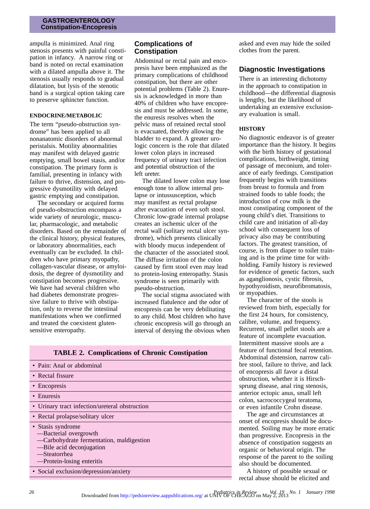# **GASTROENTEROLOGY Constipation-Encopresis**

ampulla is minimized. Anal ring stenosis presents with painful constipation in infancy. A narrow ring or band is noted on rectal examination with a dilated ampulla above it. The stenosis usually responds to gradual dilatation, but lysis of the stenotic band is a surgical option taking care to preserve sphincter function.

# **ENDOCRINE/METABOLIC**

The term "pseudo-obstruction syndrome" has been applied to all nonanatomic disorders of abnormal peristalsis. Motility abnormalities may manifest with delayed gastric emptying, small bowel stasis, and/or constipation. The primary form is familial, presenting in infancy with failure to thrive, distension, and progressive dysmotility with delayed gastric emptying and constipation.

The secondary or acquired forms of pseudo-obstruction encompass a wide variety of neurologic, muscular, pharmacologic, and metabolic disorders. Based on the remainder of the clinical history, physical features, or laboratory abnormalities, each eventually can be excluded. In children who have primary myopathy, collagen-vascular disease, or amyloidosis, the degree of dysmotility and constipation becomes progressive. We have had several children who had diabetes demonstrate progressive failure to thrive with obstipation, only to reverse the intestinal manifestations when we confirmed and treated the coexistent glutensensitive enteropathy.

# **Complications of Constipation**

Abdominal or rectal pain and encopresis have been emphasized as the primary complications of childhood constipation, but there are other potential problems (Table 2). Enuresis is acknowledged in more than 40% of children who have encopresis and must be addressed. In some, the enuresis resolves when the pelvic mass of retained rectal stool is evacuated, thereby allowing the bladder to expand. A greater urologic concern is the role that dilated lower colon plays in increased frequency of urinary tract infection and potential obstruction of the left ureter.

The dilated lower colon may lose enough tone to allow internal prolapse or intussusception, which may manifest as rectal prolapse after evacuation of even soft stool. Chronic low-grade internal prolapse creates an ischemic ulcer of the rectal wall (solitary rectal ulcer syndrome), which presents clinically with bloody mucus independent of the character of the associated stool. The diffuse irritation of the colon caused by firm stool even may lead to protein-losing enteropathy. Stasis syndrome is seen primarily with pseudo-obstruction.

The social stigma associated with increased flatulence and the odor of encopresis can be very debilitating to any child. Most children who have chronic encopresis will go through an interval of denying the obvious when

• Pain: Anal or abdominal • Rectal fissure • Encopresis • Enuresis • Urinary tract infection/ureteral obstruction • Rectal prolapse/solitary ulcer • Stasis syndrome —Bacterial overgrowth —Carbohydrate fermentation, maldigestion —Bile acid deconjugation —Steatorrhea —Protein-losing enteritis • Social exclusion/depression/anxiety

asked and even may hide the soiled clothes from the parent.

# **Diagnostic Investigations**

There is an interesting dichotomy in the approach to constipation in childhood—the differential diagnosis is lengthy, but the likelihood of undertaking an extensive exclusionary evaluation is small.

# **HISTORY**

No diagnostic endeavor is of greater importance than the history. It begins with the birth history of gestational complications, birthweight, timing of passage of meconium, and tolerance of early feedings. Constipation frequently begins with transitions from breast to formula and from strained foods to table foods; the introduction of cow milk is the most constipating component of the young child's diet. Transitions to child care and initiation of all-day school with consequent loss of privacy also may be contributing factors. The greatest transition, of course, is from diaper to toilet training and is the prime time for withholding. Family history is reviewed for evidence of genetic factors, such as aganglionosis, cystic fibrosis, hypothyroidism, neurofibromatosis, or myopathies.

The character of the stools is reviewed from birth, especially for the first 24 hours, for consistency, calibre, volume, and frequency. Recurrent, small pellet stools are a feature of incomplete evacuation. Intermittent massive stools are a feature of functional fecal retention. Abdominal distension, narrow calibre stool, failure to thrive, and lack of encopresis all favor a distal obstruction, whether it is Hirschsprung disease, anal ring stenosis, anterior ectopic anus, small left colon, sacrococcygeal teratoma, or even infantile Crohn disease.

The age and circumstances at onset of encopresis should be documented. Soiling may be more erratic than progressive. Encopresis in the absence of constipation suggests an organic or behavioral origin. The response of the parent to the soiling also should be documented.

A history of possible sexual or rectal abuse should be elicited and

# **TABLE 2. Complications of Chronic Constipation**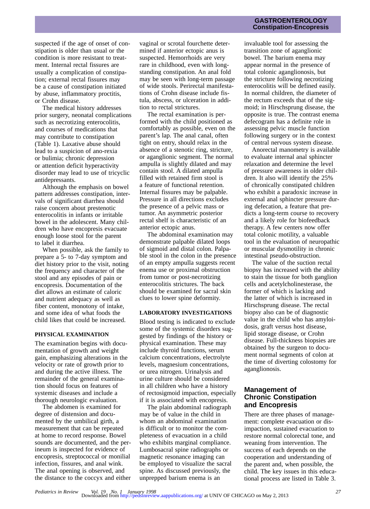suspected if the age of onset of constipation is older than usual or the condition is more resistant to treatment. Internal rectal fissures are usually a complication of constipation; external rectal fissures may be a cause of constipation initiated by abuse, inflammatory proctitis, or Crohn disease.

The medical history addresses prior surgery, neonatal complications such as necrotizing enterocolitis, and courses of medications that may contribute to constipation (Table 1). Laxative abuse should lead to a suspicion of ano-rexia or bulimia; chronic depression or attention deficit hyperactivity disorder may lead to use of tricyclic antidepressants.

Although the emphasis on bowel pattern addresses constipation, intervals of significant diarrhea should raise concern about prestenotic enterocolitis in infants or irritable bowel in the adolescent. Many children who have encopresis evacuate enough loose stool for the parent to label it diarrhea.

When possible, ask the family to prepare a 5- to 7-day symptom and diet history prior to the visit, noting the frequency and character of the stool and any episodes of pain or encopresis. Documentation of the diet allows an estimate of caloric and nutrient adequacy as well as fiber content, monotony of intake, and some idea of what foods the child likes that could be increased.

#### **PHYSICAL EXAMINATION**

The examination begins with documentation of growth and weight gain, emphasizing alterations in the velocity or rate of growth prior to and during the active illness. The remainder of the general examination should focus on features of systemic diseases and include a thorough neurologic evaluation.

The abdomen is examined for degree of distension and documented by the umbilical girth, a measurement that can be repeated at home to record response. Bowel sounds are documented, and the perineum is inspected for evidence of encopresis, streptococcal or monilial infection, fissures, and anal wink. The anal opening is observed, and the distance to the coccyx and either

vaginal or scrotal fourchette determined if anterior ectopic anus is suspected. Hemorrhoids are very rare in childhood, even with longstanding constipation. An anal fold may be seen with long-term passage of wide stools. Perirectal manifestations of Crohn disease include fistula, abscess, or ulceration in addition to rectal strictures.

The rectal examination is performed with the child positioned as comfortably as possible, even on the parent's lap. The anal canal, often tight on entry, should relax in the absence of a stenotic ring, stricture, or aganglionic segment. The normal ampulla is slightly dilated and may contain stool. A dilated ampulla filled with retained firm stool is a feature of functional retention. Internal fissures may be palpable. Pressure in all directions excludes the presence of a pelvic mass or tumor. An asymmetric posterior rectal shelf is characteristic of an anterior ectopic anus.

The abdominal examination may demonstrate palpable dilated loops of sigmoid and distal colon. Palpable stool in the colon in the presence of an empty ampulla suggests recent enema use or proximal obstruction from tumor or post-necrotizing enterocolitis strictures. The back should be examined for sacral skin clues to lower spine deformity.

## **LABORATORY INVESTIGATIONS**

Blood testing is indicated to exclude some of the systemic disorders suggested by findings of the history or physical examination. These may include thyroid functions, serum calcium concentrations, electrolyte levels, magnesium concentrations, or urea nitrogen. Urinalysis and urine culture should be considered in all children who have a history of rectosigmoid impaction, especially if it is associated with encopresis.

The plain abdominal radiograph may be of value in the child in whom an abdominal examination is difficult or to monitor the completeness of evacuation in a child who exhibits marginal compliance. Lumbosacral spine radiographs or magnetic resonance imaging can be employed to visualize the sacral spine. As discussed previously, the unprepped barium enema is an

# **GASTROENTEROLOGY Constipation-Encopresis**

invaluable tool for assessing the transition zone of aganglionic bowel. The barium enema may appear normal in the presence of total colonic aganglionosis, but the stricture following necrotizing enterocolitis will be defined easily. In normal children, the diameter of the rectum exceeds that of the sigmoid; in Hirschsprung disease, the opposite is true. The contrast enema defecogram has a definite role in assessing pelvic muscle function following surgery or in the context of central nervous system disease.

Anorectal manometry is available to evaluate internal anal sphincter relaxation and determine the level of pressure awareness in older children. It also will identify the 25% of chronically constipated children who exhibit a paradoxic increase in external anal sphincter pressure during defecation, a feature that predicts a long-term course to recovery and a likely role for biofeedback therapy. A few centers now offer total colonic motility, a valuable tool in the evaluation of neuropathic or muscular dysmotility in chronic intestinal pseudo-obstruction.

The value of the suction rectal biopsy has increased with the ability to stain the tissue for both ganglion cells and acetylcholinesterase, the former of which is lacking and the latter of which is increased in Hirschsprung disease. The rectal biopsy also can be of diagnostic value in the child who has amyloidosis, graft versus host disease, lipid storage disease, or Crohn disease. Full-thickness biopsies are obtained by the surgeon to document normal segments of colon at the time of diverting colostomy for aganglionosis.

# **Management of Chronic Constipation and Encopresis**

There are three phases of management: complete evacuation or disimpaction, sustained evacuation to restore normal colorectal tone, and weaning from intervention. The success of each depends on the cooperation and understanding of the parent and, when possible, the child. The key issues in this educational process are listed in Table 3.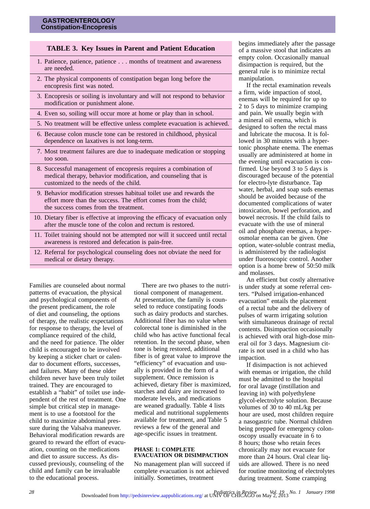# **TABLE 3. Key Issues in Parent and Patient Education**

- 1. Patience, patience, patience . . . months of treatment and awareness are needed.
- 2. The physical components of constipation began long before the encopresis first was noted.
- 3. Encopresis or soiling is involuntary and will not respond to behavior modification or punishment alone.
- 4. Even so, soiling will occur more at home or play than in school.
- 5. No treatment will be effective unless complete evacuation is achieved.
- 6. Because colon muscle tone can be restored in childhood, physical dependence on laxatives is not long-term.
- 7. Most treatment failures are due to inadequate medication or stopping too soon.
- 8. Successful management of encopresis requires a combination of medical therapy, behavior modification, and counseling that is customized to the needs of the child.
- 9. Behavior modification stresses habitual toilet use and rewards the effort more than the success. The effort comes from the child; the success comes from the treatment.
- 10. Dietary fiber is effective at improving the efficacy of evacuation only after the muscle tone of the colon and rectum is restored.
- 11. Toilet training should not be attempted nor will it succeed until rectal awareness is restored and defecation is pain-free.
- 12. Referral for psychological counseling does not obviate the need for medical or dietary therapy.

Families are counseled about normal patterns of evacuation, the physical and psychological components of the present predicament, the role of diet and counseling, the options of therapy, the realistic expectations for response to therapy, the level of compliance required of the child, and the need for patience. The older child is encouraged to be involved by keeping a sticker chart or calendar to document efforts, successes, and failures. Many of these older children never have been truly toilet trained. They are encouraged to establish a "habit" of toilet use independent of the rest of treatment. One simple but critical step in management is to use a footstool for the child to maximize abdominal pressure during the Valsalva maneuver. Behavioral modification rewards are geared to reward the effort of evacuation, counting on the medications and diet to assure success. As discussed previously, counseling of the child and family can be invaluable to the educational process.

There are two phases to the nutritional component of management. At presentation, the family is counseled to reduce constipating foods such as dairy products and starches. Additional fiber has no value when colorectal tone is diminished in the child who has active functional fecal retention. In the second phase, when tone is being restored, additional fiber is of great value to improve the "efficiency" of evacuation and usually is provided in the form of a supplement. Once remission is achieved, dietary fiber is maximized, starches and dairy are increased to moderate levels, and medications are weaned gradually. Table 4 lists medical and nutritional supplements available for treatment, and Table 5 reviews a few of the general and age-specific issues in treatment.

#### **PHASE 1: COMPLETE EVACUATION OR DISIMPACTION**

No management plan will succeed if complete evacuation is not achieved initially. Sometimes, treatment

begins immediately after the passage of a massive stool that indicates an empty colon. Occasionally manual disimpaction is required, but the general rule is to minimize rectal manipulation.

If the rectal examination reveals a firm, wide impaction of stool, enemas will be required for up to 2 to 5 days to minimize cramping and pain. We usually begin with a mineral oil enema, which is designed to soften the rectal mass and lubricate the mucosa. It is followed in 30 minutes with a hypertonic phosphate enema. The enemas usually are administered at home in the evening until evacuation is confirmed. Use beyond 3 to 5 days is discouraged because of the potential for electro-lyte disturbance. Tap water, herbal, and soap suds enemas should be avoided because of the documented complications of water intoxication, bowel perforation, and bowel necrosis. If the child fails to evacuate with the use of mineral oil and phosphate enemas, a hyperosmolar enema can be given. One option, water-soluble contrast media, is administered by the radiologist under fluoroscopic control. Another option is a home brew of 50:50 milk and molasses.

An efficient but costly alternative is under study at some referral centers. "Pulsed irrigation-enhanced evacuation" entails the placement of a rectal tube and the delivery of pulses of warm irrigating solution with simultaneous drainage of rectal contents. Disimpaction occasionally is achieved with oral high-dose mineral oil for 3 days. Magnesium citrate is not used in a child who has impaction.

If disimpaction is not achieved with enemas or irrigation, the child must be admitted to the hospital for oral lavage (instillation and leaving in) with polyethylene glycol-electrolyte solution. Because volumes of 30 to 40 mL/kg per hour are used, most children require a nasogastric tube. Normal children being prepped for emergency colonoscopy usually evacuate in 6 to 8 hours; those who retain feces chronically may not evacuate for more than 24 hours. Oral clear liquids are allowed. There is no need for routine monitoring of electrolytes during treatment. Some cramping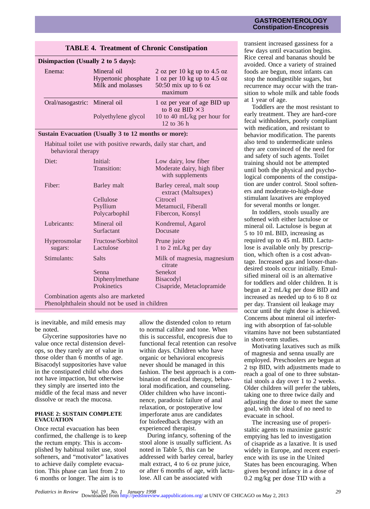# **GASTROENTEROLOGY Constipation-Encopresis**

| Disimpaction (Usually 2 to 5 days): |                                                          |                                                                                                 |
|-------------------------------------|----------------------------------------------------------|-------------------------------------------------------------------------------------------------|
| Enema:                              | Mineral oil<br>Hypertonic phosphate<br>Milk and molasses | 2 oz per 10 kg up to 4.5 oz<br>1 oz per 10 kg up to 4.5 oz<br>50:50 mix up to $6$ oz<br>maximum |
| Oral/nasogastric: Mineral oil       |                                                          | 1 oz per year of age BID up<br>to 8 oz BID $\times$ 3                                           |
|                                     | Polyethylene glycol                                      | 10 to 40 mL/kg per hour for<br>12 to $36 h$                                                     |

# **TABLE 4. Treatment of Chronic Constipation**

## **Sustain Evacuation (Usually 3 to 12 months or more):**

Habitual toilet use with positive rewards, daily star chart, and behavioral therapy

| Diet:                                                                                  | Initial:<br>Transition:                               | Low dairy, low fiber<br>Moderate dairy, high fiber<br>with supplements                                 |
|----------------------------------------------------------------------------------------|-------------------------------------------------------|--------------------------------------------------------------------------------------------------------|
| Fiber:                                                                                 | Barley malt<br>Cellulose<br>Psyllium<br>Polycarbophil | Barley cereal, malt soup<br>extract (Maltsupex)<br>Citrocel<br>Metamucil, Fiberall<br>Fibercon, Konsyl |
| Lubricants:                                                                            | Mineral oil<br>Surfactant                             | Kondremul, Agarol<br>Docusate                                                                          |
| Hyperosmolar<br>sugars:                                                                | Fructose/Sorbitol<br>Lactulose                        | Prune juice<br>1 to 2 mL/kg per day                                                                    |
| Stimulants:                                                                            | Salts<br>Senna<br>Diphenylmethane<br>Prokinetics      | Milk of magnesia, magnesium<br>citrate<br>Senekot<br><b>Bisacodyl</b><br>Cisapride, Metaclopramide     |
| Combination agents also are marketed<br>Phenolphthalein should not be used in children |                                                       |                                                                                                        |

is inevitable, and mild emesis may be noted.

Glycerine suppositories have no value once rectal distension develops, so they rarely are of value in those older than 6 months of age. Bisacodyl suppositories have value in the constipated child who does not have impaction, but otherwise they simply are inserted into the middle of the fecal mass and never dissolve or reach the mucosa.

#### **PHASE 2: SUSTAIN COMPLETE EVACUATION**

Once rectal evacuation has been confirmed, the challenge is to keep the rectum empty. This is accomplished by habitual toilet use, stool softeners, and "motivator" laxatives to achieve daily complete evacuation. This phase can last from 2 to 6 months or longer. The aim is to

allow the distended colon to return to normal calibre and tone. When this is successful, encopresis due to functional fecal retention can resolve within days. Children who have organic or behavioral encopresis never should be managed in this fashion. The best approach is a combination of medical therapy, behavioral modification, and counseling. Older children who have incontinence, paradoxic failure of anal relaxation, or postoperative low imperforate anus are candidates for biofeedback therapy with an experienced therapist.

During infancy, softening of the stool alone is usually sufficient. As noted in Table 5, this can be addressed with barley cereal, barley malt extract, 4 to 6 oz prune juice, or after 6 months of age, with lactulose. All can be associated with

transient increased gassiness for a few days until evacuation begins. Rice cereal and bananas should be avoided. Once a variety of strained foods are begun, most infants can stop the nondigestible sugars, but recurrence may occur with the transition to whole milk and table foods at 1 year of age.

Toddlers are the most resistant to early treatment. They are hard-core fecal withholders, poorly compliant with medication, and resistant to behavior modification. The parents also tend to undermedicate unless they are convinced of the need for and safety of such agents. Toilet training should not be attempted until both the physical and psychological components of the constipation are under control. Stool softeners and moderate-to-high-dose stimulant laxatives are employed for several months or longer.

In toddlers, stools usually are softened with either lactulose or mineral oil. Lactulose is begun at 5 to 10 mL BID, increasing as required up to 45 mL BID. Lactulose is available only by prescription, which often is a cost advantage. Increased gas and looser-thandesired stools occur initially. Emulsified mineral oil is an alternative for toddlers and older children. It is begun at 2 mL/kg per dose BID and increased as needed up to 6 to 8 oz per day. Transient oil leakage may occur until the right dose is achieved. Concerns about mineral oil interfering with absorption of fat-soluble vitamins have not been substantiated in short-term studies.

Motivating laxatives such as milk of magnesia and senna usually are employed. Preschoolers are begun at 2 tsp BID, with adjustments made to reach a goal of one to three substantial stools a day over 1 to 2 weeks. Older children will prefer the tablets, taking one to three twice daily and adjusting the dose to meet the same goal, with the ideal of no need to evacuate in school.

The increasing use of properistaltic agents to maximize gastric emptying has led to investigation of cisapride as a laxative. It is used widely in Europe, and recent experience with its use in the United States has been encouraging. When given beyond infancy in a dose of 0.2 mg/kg per dose TID with a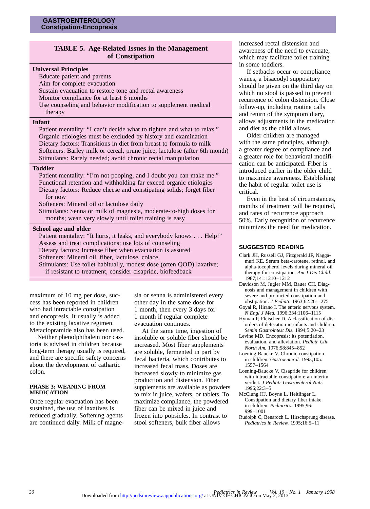# **TABLE 5. Age-Related Issues in the Management of Constipation**

#### **Universal Principles**

Educate patient and parents Aim for complete evacuation Sustain evacuation to restore tone and rectal awareness Monitor compliance for at least 6 months Use counseling and behavior modification to supplement medical therapy

#### **Infant**

Patient mentality: "I can't decide what to tighten and what to relax." Organic etiologies must be excluded by history and examination Dietary factors: Transitions in diet from breast to formula to milk Softeners: Barley milk or cereal, prune juice, lactulose (after 6th month) Stimulants: Rarely needed; avoid chronic rectal manipulation

#### **Toddler**

Patient mentality: "I'm not pooping, and I doubt you can make me." Functional retention and withholding far exceed organic etiologies Dietary factors: Reduce cheese and constipating solids; forget fiber for now

Softeners: Mineral oil or lactulose daily

Stimulants: Senna or milk of magnesia, moderate-to-high doses for months; wean very slowly until toilet training is easy

#### **School age and older**

Patient mentality: "It hurts, it leaks, and everybody knows . . . Help!" Assess and treat complications; use lots of counseling Dietary factors: Increase fiber when evacuation is assured Softeners: Mineral oil, fiber, lactulose, colace Stimulants: Use toilet habitually, modest dose (often QOD) laxative; if resistant to treatment, consider cisapride, biofeedback

maximum of 10 mg per dose, success has been reported in children who had intractable constipation and encopresis. It usually is added to the existing laxative regimen. Metaclopramide also has been used.

Neither phenolphthalein nor castoria is advised in children because long-term therapy usually is required, and there are specific safety concerns about the development of cathartic colon.

#### **PHASE 3: WEANING FROM MEDICATION**

Once regular evacuation has been sustained, the use of laxatives is reduced gradually. Softening agents are continued daily. Milk of magne-

sia or senna is administered every other day in the same dose for 1 month, then every 3 days for 1 month if regular complete evacuation continues.

At the same time, ingestion of insoluble or soluble fiber should be increased. Most fiber supplements are soluble, fermented in part by fecal bacteria, which contributes to increased fecal mass. Doses are increased slowly to minimize gas production and distension. Fiber supplements are available as powders to mix in juice, wafers, or tablets. To maximize compliance, the powdered fiber can be mixed in juice and frozen into popsicles. In contrast to stool softeners, bulk fiber allows

increased rectal distension and awareness of the need to evacuate, which may facilitate toilet training in some toddlers.

If setbacks occur or compliance wanes, a bisacodyl suppository should be given on the third day on which no stool is passed to prevent recurrence of colon distension. Close follow-up, including routine calls and return of the symptom diary, allows adjustments in the medication and diet as the child allows.

Older children are managed with the same principles, although a greater degree of compliance and a greater role for behavioral modification can be anticipated. Fiber is introduced earlier in the older child to maximize awareness. Establishing the habit of regular toilet use is critical.

Even in the best of circumstances, months of treatment will be required, and rates of recurrence approach 50%. Early recognition of recurrence minimizes the need for medication.

## **SUGGESTED READING**

- Clark JH, Russell GJ, Fitzgerald JF, Naggamuri KE. Serum beta-carotene, retinol, and alpha-tocopherol levels during mineral oil therapy for constipation. *Am J Dis Child.* 1987;141:1210–1212
- Davidson M, Jugler MM, Bauer CH. Diagnosis and management in children with severe and protracted constipation and obstipation. *J Pediatr.* 1963;62:261–275
- Goyal R, Hirano I. The enteric nervous system. *N Engl J Med.* 1996;334:1106–1115
- Hyman P, Fleischer D. A classification of disorders of defecation in infants and children. *Semin Gastrointest Dis.* 1994;5:20–23
- Levine MD. Encopresis: its potentiation, evaluation, and alleviation. *Pediatr Clin North Am.* 1976;58:845–852
- Loening-Baucke V. Chronic constipation in children. *Gastroenterol.* 1993;105: 1557–1564
- Loening-Baucke V. Cisapride for children with intractable constipation: an interim verdict. *J Pediatr Gastroenterol Nutr.* 1996;22:3–5
- McClung HJ, Boyne L, Heitlinger L. Constipation and dietary fiber intake in children. *Pediatrics.* 1995;96: 999–1001
- Rudolph C, Benaroch L. Hirschsprung disease. *Pediatrics in Review.* 1995;16:5–11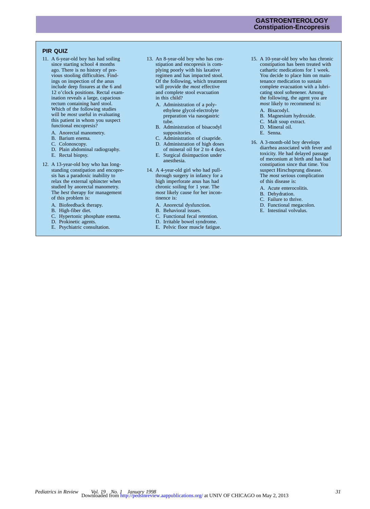# **GASTROENTEROLOGY Constipation-Encopresis**

# **PIR QUIZ**

- 11. A 6-year-old boy has had soiling since starting school 4 months ago. There is no history of previous stooling difficulties. Findings on inspection of the anus include deep fissures at the 6 and 12 o'clock positions. Rectal examination reveals a large, capacious rectum containing hard stool. Which of the following studies will be *most* useful in evaluating this patient in whom you suspect functional encopresis?
	- A. Anorectal manometry.
	- B. Barium enema.
	- C. Colonoscopy.
	- D. Plain abdominal radiography.
	- E. Rectal biopsy.
- 12. A 13-year-old boy who has longstanding constipation and encopresis has a paradoxic inability to relax the external sphincter when studied by anorectal manometry. The *best* therapy for management of this problem is:
	- A. Biofeedback therapy.
	- B. High-fiber diet.
	- C. Hypertonic phosphate enema.
	- D. Prokinetic agents.
	- E. Psychiatric consultation.
- 13. An 8-year-old boy who has constipation and encopresis is complying poorly with his laxative regimen and has impacted stool. Of the following, which treatment will provide the *most* effective and complete stool evacuation in this child?
	- A. Administration of a polyethylene glycol-electrolyte preparation via nasogastric tube.
	- B. Administration of bisacodyl suppositories.
	- C. Administration of cisapride.
	- D. Administration of high doses of mineral oil for 2 to 4 days.
	- E. Surgical disimpaction under anesthesia.
- 14. A 4-year-old girl who had pullthrough surgery in infancy for a high imperforate anus has had chronic soiling for 1 year. The *most* likely cause for her incontinence is:
	- A. Anorectal dysfunction.
	- B. Behavioral issues.
	- C. Functional fecal retention.
	- D. Irritable bowel syndrome.
	- E. Pelvic floor muscle fatigue.
- 15. A 10-year-old boy who has chronic constipation has been treated with cathartic medications for 1 week. You decide to place him on maintenance medication to sustain complete evacuation with a lubricating stool softenener. Among the following, the agent you are *most* likely to recommend is:
	- A. Bisacodyl.
	- B. Magnesium hydroxide.
	- C. Malt soup extract.
	- D. Mineral oil.
	- E. Senna.
- 16. A 3-month-old boy develops diarrhea associated with fever and toxicity. He had delayed passage of meconium at birth and has had constipation since that time. You suspect Hirschsprung disease. The *most* serious complication of this disease is:
	- A. Acute enterocolitis.
	- B. Dehydration.
	- C. Failure to thrive.
	- D. Functional megacolon.
	- E. Intestinal volvulus.